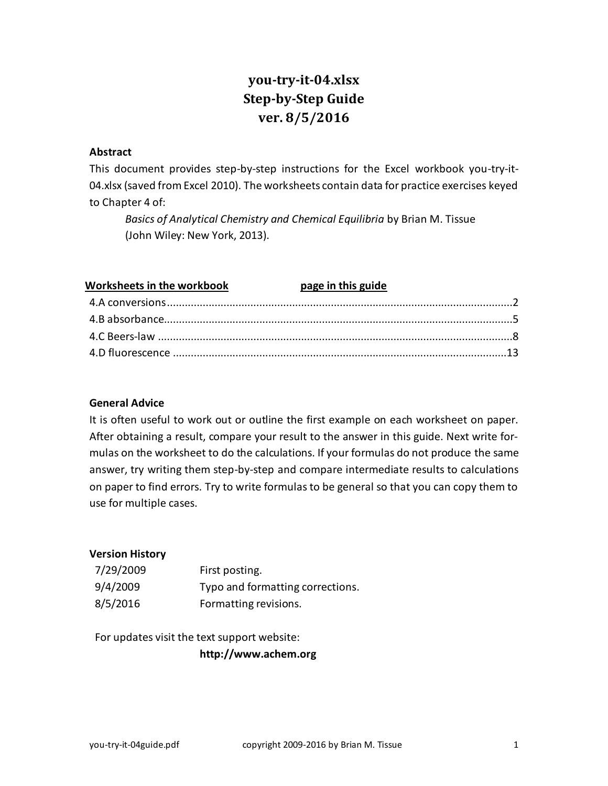# **you-try-it-04.xlsx Step-by-Step Guide ver. 8/5/2016**

# **Abstract**

This document provides step-by-step instructions for the Excel workbook you-try-it-04.xlsx (saved from Excel 2010). The worksheets contain data for practice exercises keyed to Chapter 4 of:

*Basics of Analytical Chemistry and Chemical Equilibria* by Brian M. Tissue (John Wiley: New York, 2013).

| Worksheets in the workbook page in this guide |  |
|-----------------------------------------------|--|
|                                               |  |
|                                               |  |
|                                               |  |
|                                               |  |

# **General Advice**

It is often useful to work out or outline the first example on each worksheet on paper. After obtaining a result, compare your result to the answer in this guide. Next write formulas on the worksheet to do the calculations. If your formulas do not produce the same answer, try writing them step-by-step and compare intermediate results to calculations on paper to find errors. Try to write formulas to be general so that you can copy them to use for multiple cases.

# **Version History**

| 7/29/2009 | First posting.                   |
|-----------|----------------------------------|
| 9/4/2009  | Typo and formatting corrections. |
| 8/5/2016  | Formatting revisions.            |

For updates visit the text support website:

**http://www.achem.org**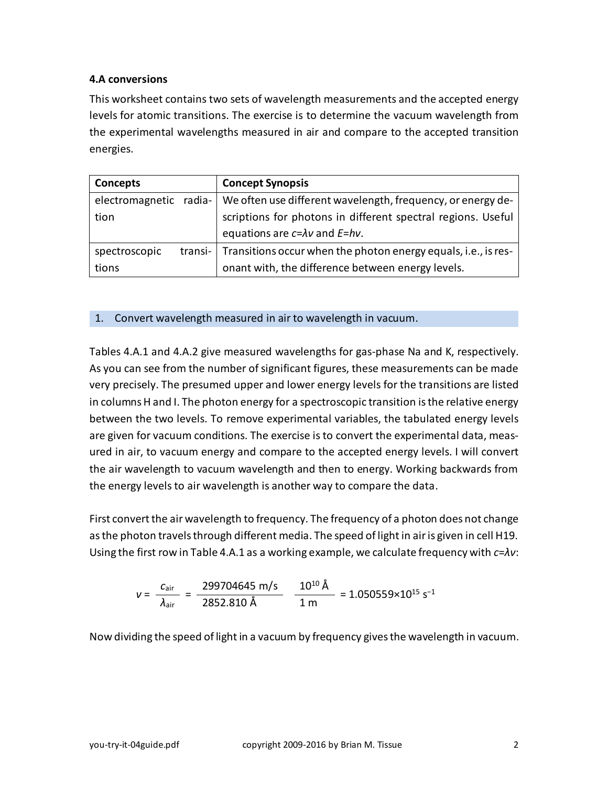# <span id="page-1-0"></span>**4.A conversions**

This worksheet contains two sets of wavelength measurements and the accepted energy levels for atomic transitions. The exercise is to determine the vacuum wavelength from the experimental wavelengths measured in air and compare to the accepted transition energies.

| Concepts                 | <b>Concept Synopsis</b>                                        |
|--------------------------|----------------------------------------------------------------|
| electromagnetic radia-   | We often use different wavelength, frequency, or energy de-    |
| tion                     | scriptions for photons in different spectral regions. Useful   |
|                          | equations are $c=\lambda v$ and $E=hv$ .                       |
| spectroscopic<br>transi- | Transitions occur when the photon energy equals, i.e., is res- |
| tions                    | onant with, the difference between energy levels.              |

# 1. Convert wavelength measured in air to wavelength in vacuum.

Tables 4.A.1 and 4.A.2 give measured wavelengths for gas-phase Na and K, respectively. As you can see from the number of significant figures, these measurements can be made very precisely. The presumed upper and lower energy levels for the transitions are listed in columns H and I. The photon energy for a spectroscopic transition is the relative energy between the two levels. To remove experimental variables, the tabulated energy levels are given for vacuum conditions. The exercise is to convert the experimental data, measured in air, to vacuum energy and compare to the accepted energy levels. I will convert the air wavelength to vacuum wavelength and then to energy. Working backwards from the energy levels to air wavelength is another way to compare the data.

First convert the air wavelength to frequency. The frequency of a photon does not change as the photon travels through different media. The speed of light in air is given in cell H19. Using the first row in Table 4.A.1 as a working example, we calculate frequency with *c*=*λν*:

$$
v = \frac{c_{\text{air}}}{\lambda_{\text{air}}} = \frac{299704645 \text{ m/s}}{2852.810 \text{ Å}} \frac{10^{10} \text{ Å}}{1 \text{ m}} = 1.050559 \times 10^{15} \text{ s}^{-1}
$$

Now dividing the speed of light in a vacuum by frequency gives the wavelength in vacuum.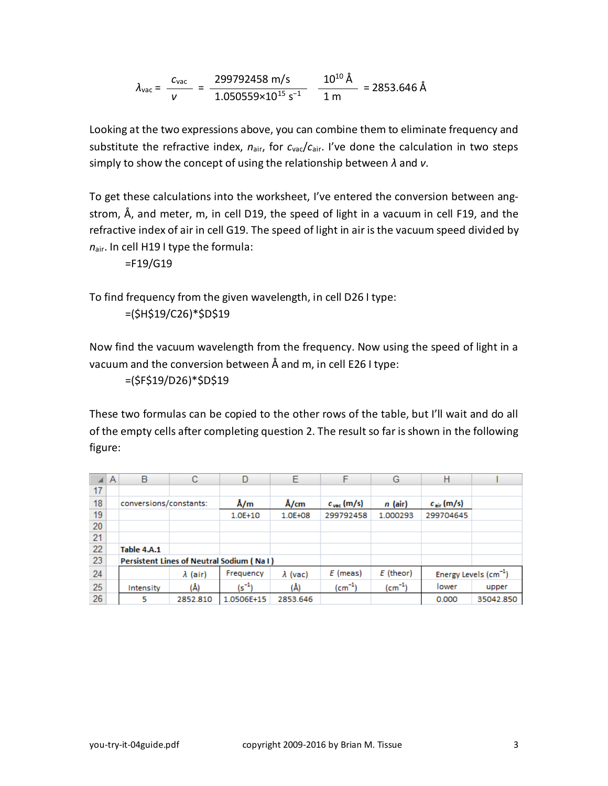$$
\lambda_{\text{vac}} = \frac{c_{\text{vac}}}{v} = \frac{299792458 \text{ m/s}}{1.050559 \times 10^{15} \text{ s}^{-1}} = \frac{10^{10} \text{ Å}}{1 \text{ m}} = 2853.646 \text{ Å}
$$

Looking at the two expressions above, you can combine them to eliminate frequency and substitute the refractive index, *n*air, for *c*vac/*c*air. I've done the calculation in two steps simply to show the concept of using the relationship between *λ* and *ν*.

To get these calculations into the worksheet, I've entered the conversion between angstrom, Å, and meter, m, in cell D19, the speed of light in a vacuum in cell F19, and the refractive index of air in cell G19. The speed of light in air is the vacuum speed divided by *n*air. In cell H19 I type the formula:

=F19/G19

To find frequency from the given wavelength, in cell D26 I type: =(\$H\$19/C26)\*\$D\$19

Now find the vacuum wavelength from the frequency. Now using the speed of light in a vacuum and the conversion between Å and m, in cell E26 I type:

=(\$F\$19/D26)\*\$D\$19

These two formulas can be copied to the other rows of the table, but I'll wait and do all of the empty cells after completing question 2. The result so far is shown in the following figure:

|    | A | B                      | С               | D                                               | E               | F                      | G           | н                      |                                  |
|----|---|------------------------|-----------------|-------------------------------------------------|-----------------|------------------------|-------------|------------------------|----------------------------------|
| 17 |   |                        |                 |                                                 |                 |                        |             |                        |                                  |
| 18 |   | conversions/constants: |                 | Å/m                                             | Å/cm            | $c_{\text{vac}}$ (m/s) | n (air)     | $c_{\text{air}}$ (m/s) |                                  |
| 19 |   |                        |                 | $1.0E + 10$                                     | 1.0E+08         | 299792458              | 1.000293    | 299704645              |                                  |
| 20 |   |                        |                 |                                                 |                 |                        |             |                        |                                  |
| 21 |   |                        |                 |                                                 |                 |                        |             |                        |                                  |
| 22 |   | Table 4.A.1            |                 |                                                 |                 |                        |             |                        |                                  |
| 23 |   |                        |                 | <b>Persistent Lines of Neutral Sodium (NaI)</b> |                 |                        |             |                        |                                  |
| 24 |   |                        | $\lambda$ (air) | Frequency                                       | $\lambda$ (vac) | $E$ (meas)             | $E$ (theor) |                        | Energy Levels $\text{(cm}^{-1})$ |
| 25 |   | Intensity              | (Å)             | $(s^{-1})$                                      | (Å)             | $(cm-1)$               | $(cm^{-1})$ | lower                  | upper                            |
| 26 |   | 5                      | 2852.810        | 1.0506E+15                                      | 2853.646        |                        |             | 0.000                  | 35042.850                        |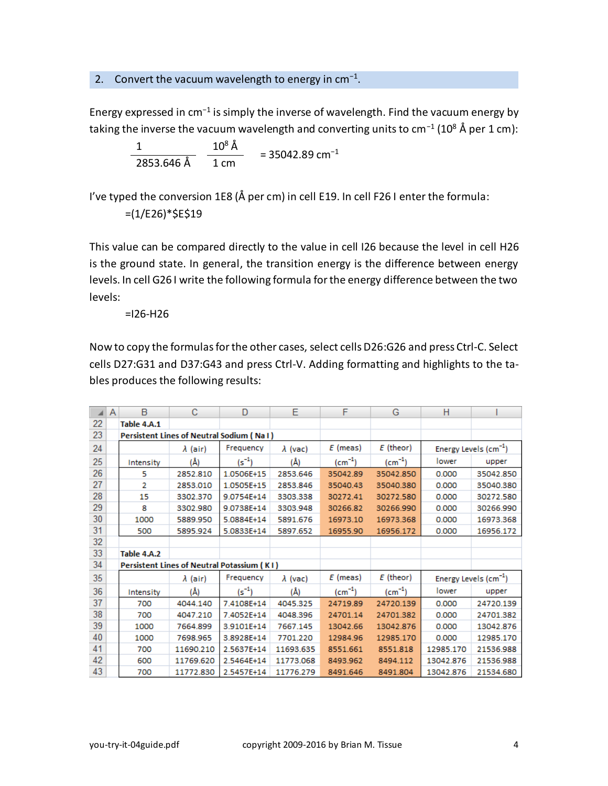# 2. Convert the vacuum wavelength to energy in  $cm^{-1}$ .

Energy expressed in cm<sup>-1</sup> is simply the inverse of wavelength. Find the vacuum energy by taking the inverse the vacuum wavelength and converting units to cm<sup>−1</sup> (10<sup>8</sup> Å per 1 cm):

$$
\frac{1}{2853.646 \text{ Å}} \frac{10^8 \text{ Å}}{1 \text{ cm}} = 35042.89 \text{ cm}^{-1}
$$

I've typed the conversion 1E8 (Å per cm) in cell E19. In cell F26 I enter the formula:

 $=(1/E26)*$E$19$ 

This value can be compared directly to the value in cell I26 because the level in cell H26 is the ground state. In general, the transition energy is the difference between energy levels. In cell G26 I write the following formula for the energy difference between the two levels:

=I26-H26

Now to copy the formulas for the other cases, select cells D26:G26 and press Ctrl-C. Select cells D27:G31 and D37:G43 and press Ctrl-V. Adding formatting and highlights to the tables produces the following results:

|    | A | B           | С               | D                                          | Ε               | F           | G           | н         |                                   |
|----|---|-------------|-----------------|--------------------------------------------|-----------------|-------------|-------------|-----------|-----------------------------------|
| 22 |   | Table 4.A.1 |                 |                                            |                 |             |             |           |                                   |
| 23 |   |             |                 | Persistent Lines of Neutral Sodium (Na I ) |                 |             |             |           |                                   |
| 24 |   |             | $\lambda$ (air) | Frequency                                  | $\lambda$ (vac) | $E$ (meas)  | $E$ (theor) |           | Energy Levels (cm <sup>-1</sup> ) |
| 25 |   | Intensity   | (Å)             | $(s^{-1})$                                 | (Å)             | $(cm^{-1})$ | $(cm^{-1})$ | lower     | upper                             |
| 26 |   | 5           | 2852.810        | 1.0506E+15                                 | 2853.646        | 35042.89    | 35042.850   | 0.000     | 35042.850                         |
| 27 |   | 2           | 2853.010        | 1.0505E+15                                 | 2853.846        | 35040.43    | 35040.380   | 0.000     | 35040.380                         |
| 28 |   | 15          | 3302.370        | 9.0754E+14                                 | 3303.338        | 30272.41    | 30272.580   | 0.000     | 30272.580                         |
| 29 |   | 8           | 3302.980        | 9.0738E+14                                 | 3303.948        | 30266.82    | 30266.990   | 0.000     | 30266.990                         |
| 30 |   | 1000        | 5889.950        | 5.0884E+14                                 | 5891.676        | 16973.10    | 16973.368   | 0.000     | 16973.368                         |
| 31 |   | 500         | 5895.924        | 5.0833E+14                                 | 5897.652        | 16955.90    | 16956.172   | 0.000     | 16956.172                         |
| 32 |   |             |                 |                                            |                 |             |             |           |                                   |
| 33 |   | Table 4.A.2 |                 |                                            |                 |             |             |           |                                   |
| 34 |   |             |                 | Persistent Lines of Neutral Potassium (KI) |                 |             |             |           |                                   |
| 35 |   |             | λ (air)         | Frequency                                  | $\lambda$ (vac) | $E$ (meas)  | $E$ (theor) |           | Energy Levels (cm <sup>-1</sup> ) |
| 36 |   | Intensity   | (Å)             | $(s^{-1})$                                 | (Å)             | $(cm^{-1})$ | $(cm^{-1})$ | lower     | upper                             |
| 37 |   | 700         | 4044.140        | 7.4108E+14                                 | 4045.325        | 24719.89    | 24720.139   | 0.000     | 24720.139                         |
| 38 |   | 700         | 4047.210        | 7.4052E+14                                 | 4048.396        | 24701.14    | 24701.382   | 0.000     | 24701.382                         |
| 39 |   | 1000        | 7664.899        | 3.9101E+14                                 | 7667.145        | 13042.66    | 13042.876   | 0.000     | 13042.876                         |
| 40 |   | 1000        | 7698.965        | 3.8928E+14                                 | 7701.220        | 12984.96    | 12985.170   | 0.000     | 12985.170                         |
| 41 |   | 700         | 11690.210       | 2.5637E+14                                 | 11693.635       | 8551.661    | 8551.818    | 12985.170 | 21536.988                         |
| 42 |   | 600         | 11769.620       | 2.5464E+14                                 | 11773.068       | 8493.962    | 8494.112    | 13042.876 | 21536.988                         |
| 43 |   | 700         | 11772.830       | 2.5457E+14                                 | 11776.279       | 8491.646    | 8491.804    | 13042.876 | 21534.680                         |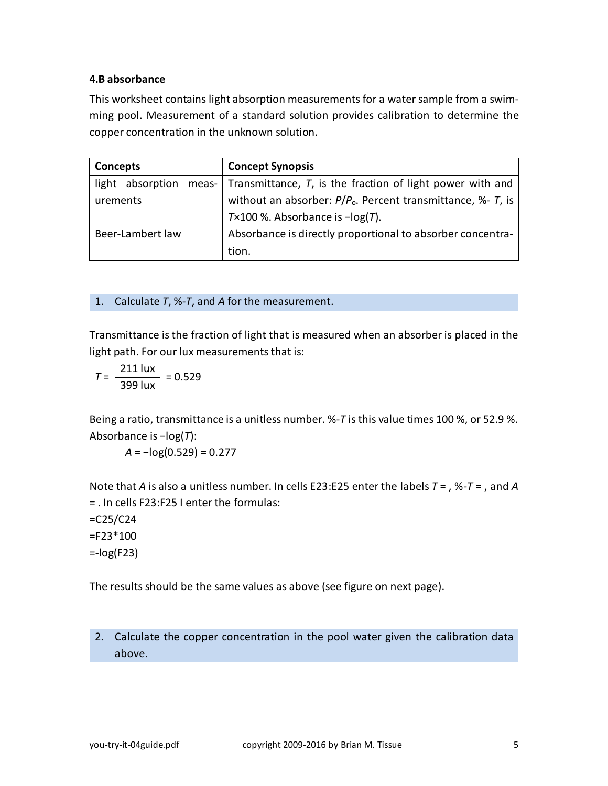# <span id="page-4-0"></span>**4.B absorbance**

This worksheet contains light absorption measurements for a water sample from a swimming pool. Measurement of a standard solution provides calibration to determine the copper concentration in the unknown solution.

| Concepts                     | <b>Concept Synopsis</b>                                       |  |  |
|------------------------------|---------------------------------------------------------------|--|--|
| light<br>absorption<br>meas- | Transmittance, T, is the fraction of light power with and     |  |  |
| urements                     | without an absorber: $P/Po$ . Percent transmittance, %- T, is |  |  |
|                              | $T \times 100$ %. Absorbance is $-\log(T)$ .                  |  |  |
| Beer-Lambert law             | Absorbance is directly proportional to absorber concentra-    |  |  |
|                              | tion.                                                         |  |  |

1. Calculate *T*, %-*T*, and *A* for the measurement.

Transmittance is the fraction of light that is measured when an absorber is placed in the light path. For our lux measurements that is:

$$
T = \frac{211 \text{ lux}}{399 \text{ lux}} = 0.529
$$

Being a ratio, transmittance is a unitless number. %-*T* is this value times 100 %, or 52.9 %. Absorbance is −log(*T*):

*A* = −log(0.529) = 0.277

Note that *A* is also a unitless number. In cells E23:E25 enter the labels *T* = , %-*T* = , and *A* = . In cells F23:F25 I enter the formulas:

 $=C25/C24$ 

 $=$ F23 $*$ 100

 $= -log(F23)$ 

The results should be the same values as above (see figure on next page).

2. Calculate the copper concentration in the pool water given the calibration data above.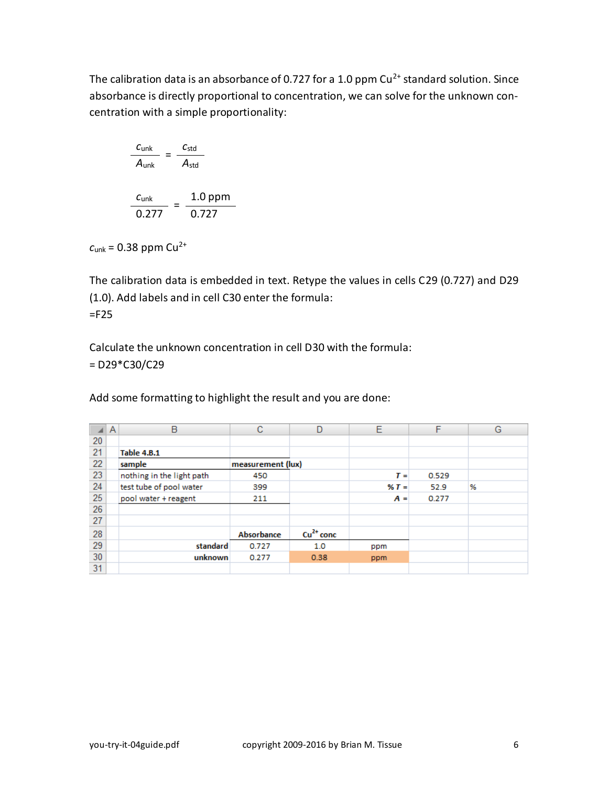The calibration data is an absorbance of 0.727 for a 1.0 ppm  $Cu^{2+}$  standard solution. Since absorbance is directly proportional to concentration, we can solve for the unknown concentration with a simple proportionality:

$$
\frac{c_{\text{unk}}}{A_{\text{unk}}} = \frac{c_{\text{std}}}{A_{\text{std}}}
$$

$$
\frac{c_{\text{unk}}}{0.277} = \frac{1.0 \text{ ppm}}{0.727}
$$

 $c_{unk}$  = 0.38 ppm Cu<sup>2+</sup>

The calibration data is embedded in text. Retype the values in cells C29 (0.727) and D29 (1.0). Add labels and in cell C30 enter the formula: =F25

Calculate the unknown concentration in cell D30 with the formula: = D29\*C30/C29

Add some formatting to highlight the result and you are done:

|    | A | в                         | с                 | D           | Е     | F     | G |
|----|---|---------------------------|-------------------|-------------|-------|-------|---|
| 20 |   |                           |                   |             |       |       |   |
| 21 |   | <b>Table 4.B.1</b>        |                   |             |       |       |   |
| 22 |   | sample                    | measurement (lux) |             |       |       |   |
| 23 |   | nothing in the light path | 450               |             | $T =$ | 0.529 |   |
| 24 |   | test tube of pool water   | 399               |             | $X =$ | 52.9  | % |
| 25 |   | pool water + reagent      | 211               |             | $A =$ | 0.277 |   |
| 26 |   |                           |                   |             |       |       |   |
| 27 |   |                           |                   |             |       |       |   |
| 28 |   |                           | Absorbance        | $Cu2+ conc$ |       |       |   |
| 29 |   | standard                  | 0.727             | 1.0         | ppm   |       |   |
| 30 |   | unknown                   | 0.277             | 0.38        | ppm   |       |   |
| 31 |   |                           |                   |             |       |       |   |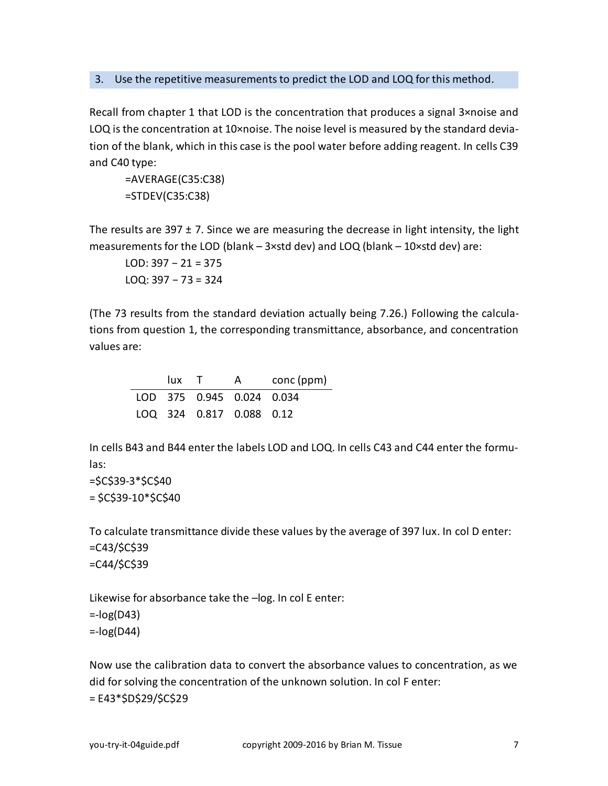#### 3. Use the repetitive measurements to predict the LOD and LOQ for this method.

Recall from chapter 1 that LOD is the concentration that produces a signal 3×noise and LOQ is the concentration at 10×noise. The noise level is measured by the standard deviation of the blank, which in this case is the pool water before adding reagent. In cells C39 and C40 type:

=AVERAGE(C35:C38) =STDEV(C35:C38)

The results are 397  $\pm$  7. Since we are measuring the decrease in light intensity, the light measurements for the LOD (blank  $-$  3×std dev) and LOQ (blank  $-$  10×std dev) are:

LOD: 397 − 21 = 375 LOQ: 397 − 73 = 324

(The 73 results from the standard deviation actually being 7.26.) Following the calculations from question 1, the corresponding transmittance, absorbance, and concentration values are:

| lux T |                           | A | conc (ppm) |
|-------|---------------------------|---|------------|
|       | LOD 375 0.945 0.024 0.034 |   |            |
|       | LOQ 324 0.817 0.088 0.12  |   |            |

In cells B43 and B44 enter the labels LOD and LOQ. In cells C43 and C44 enter the formulas:

=\$C\$39-3\*\$C\$40  $= $C$39-10*$C$40$ 

To calculate transmittance divide these values by the average of 397 lux. In col D enter:  $=C43/5C539$  $=C$ 44/\$C\$39

Likewise for absorbance take the –log. In col E enter:

 $= -log(D43)$ 

 $=$ -log(D44)

Now use the calibration data to convert the absorbance values to concentration, as we did for solving the concentration of the unknown solution. In col F enter: = E43\*\$D\$29/\$C\$29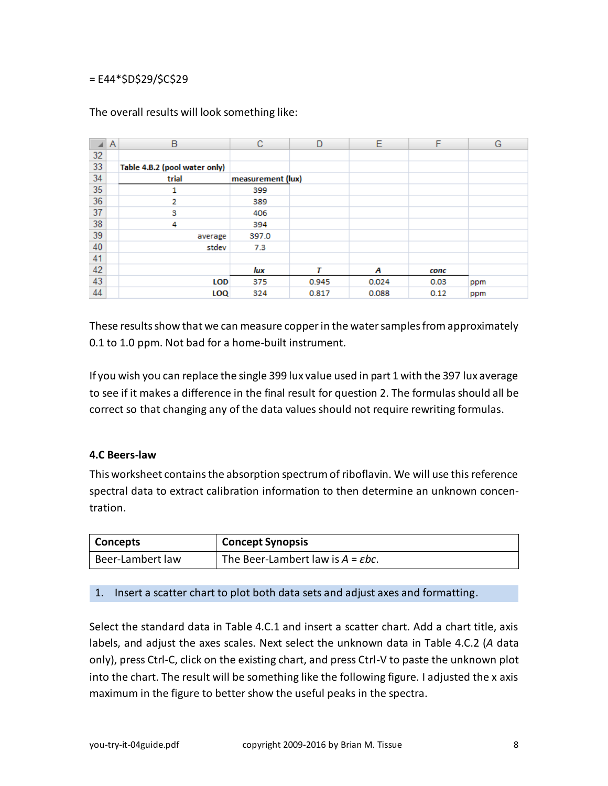# = E44\*\$D\$29/\$C\$29

|    | Α | B                             | с                 | D     | E     | F    | G   |
|----|---|-------------------------------|-------------------|-------|-------|------|-----|
| 32 |   |                               |                   |       |       |      |     |
| 33 |   | Table 4.B.2 (pool water only) |                   |       |       |      |     |
| 34 |   | trial                         | measurement (lux) |       |       |      |     |
| 35 |   |                               | 399               |       |       |      |     |
| 36 |   | 2                             | 389               |       |       |      |     |
| 37 |   | 3                             | 406               |       |       |      |     |
| 38 |   | 4                             | 394               |       |       |      |     |
| 39 |   | average                       | 397.0             |       |       |      |     |
| 40 |   | stdev                         | 7.3               |       |       |      |     |
| 41 |   |                               |                   |       |       |      |     |
| 42 |   |                               | lux               | т     | Α     | conc |     |
| 43 |   | <b>LOD</b>                    | 375               | 0.945 | 0.024 | 0.03 | ppm |
| 44 |   | LOQ                           | 324               | 0.817 | 0.088 | 0.12 | ppm |

The overall results will look something like:

These results show that we can measure copper in the water samples from approximately 0.1 to 1.0 ppm. Not bad for a home-built instrument.

If you wish you can replace the single 399 lux value used in part 1 with the 397 lux average to see if it makes a difference in the final result for question 2. The formulas should all be correct so that changing any of the data values should not require rewriting formulas.

#### <span id="page-7-0"></span>**4.C Beers-law**

This worksheet contains the absorption spectrum of riboflavin. We will use this reference spectral data to extract calibration information to then determine an unknown concentration.

| <b>Concepts</b>  | <b>Concept Synopsis</b>             |
|------------------|-------------------------------------|
| Beer-Lambert law | The Beer-Lambert law is $A = Ebc$ . |

# 1. Insert a scatter chart to plot both data sets and adjust axes and formatting.

Select the standard data in Table 4.C.1 and insert a scatter chart. Add a chart title, axis labels, and adjust the axes scales. Next select the unknown data in Table 4.C.2 (*A* data only), press Ctrl-C, click on the existing chart, and press Ctrl-V to paste the unknown plot into the chart. The result will be something like the following figure. I adjusted the x axis maximum in the figure to better show the useful peaks in the spectra.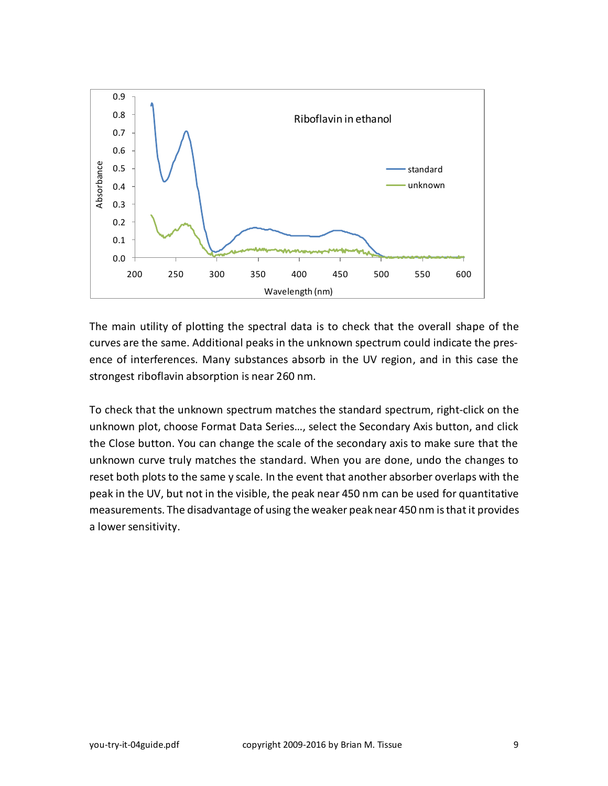

The main utility of plotting the spectral data is to check that the overall shape of the curves are the same. Additional peaks in the unknown spectrum could indicate the presence of interferences. Many substances absorb in the UV region, and in this case the strongest riboflavin absorption is near 260 nm.

To check that the unknown spectrum matches the standard spectrum, right-click on the unknown plot, choose Format Data Series…, select the Secondary Axis button, and click the Close button. You can change the scale of the secondary axis to make sure that the unknown curve truly matches the standard. When you are done, undo the changes to reset both plots to the same y scale. In the event that another absorber overlaps with the peak in the UV, but not in the visible, the peak near 450 nm can be used for quantitative measurements. The disadvantage of using the weaker peak near 450 nm is that it provides a lower sensitivity.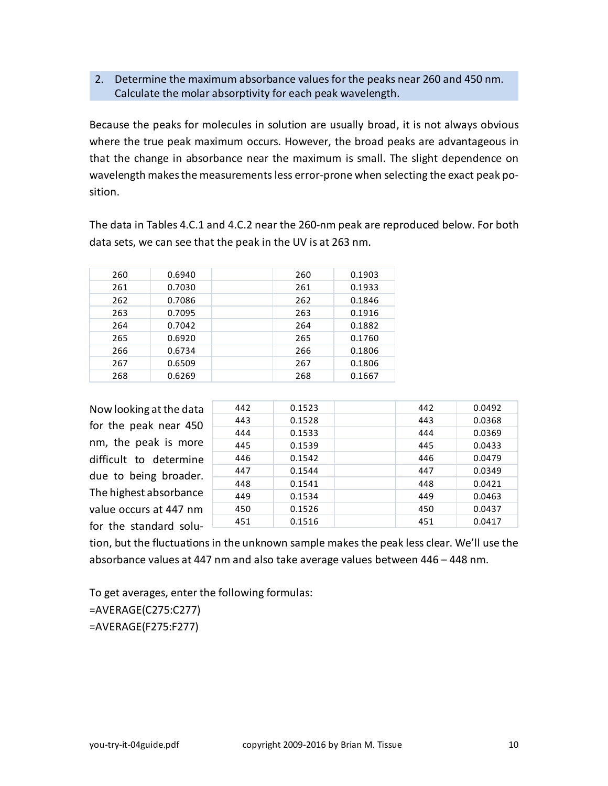# 2. Determine the maximum absorbance values for the peaks near 260 and 450 nm. Calculate the molar absorptivity for each peak wavelength.

Because the peaks for molecules in solution are usually broad, it is not always obvious where the true peak maximum occurs. However, the broad peaks are advantageous in that the change in absorbance near the maximum is small. The slight dependence on wavelength makes the measurements less error-prone when selecting the exact peak position.

The data in Tables 4.C.1 and 4.C.2 near the 260-nm peak are reproduced below. For both data sets, we can see that the peak in the UV is at 263 nm.

| 260 | 0.6940 | 260 | 0.1903 |
|-----|--------|-----|--------|
| 261 | 0.7030 | 261 | 0.1933 |
| 262 | 0.7086 | 262 | 0.1846 |
| 263 | 0.7095 | 263 | 0.1916 |
| 264 | 0.7042 | 264 | 0.1882 |
| 265 | 0.6920 | 265 | 0.1760 |
| 266 | 0.6734 | 266 | 0.1806 |
| 267 | 0.6509 | 267 | 0.1806 |
| 268 | 0.6269 | 268 | 0.1667 |

Now looking atthe data for the peak near 450 nm, the peak is more difficult to determine due to being broader. The highest absorbance value occurs at 447 nm for the standard solu-

| 442 | 0.1523 | 442 | 0.0492 |
|-----|--------|-----|--------|
| 443 | 0.1528 | 443 | 0.0368 |
| 444 | 0.1533 | 444 | 0.0369 |
| 445 | 0.1539 | 445 | 0.0433 |
| 446 | 0.1542 | 446 | 0.0479 |
| 447 | 0.1544 | 447 | 0.0349 |
| 448 | 0.1541 | 448 | 0.0421 |
| 449 | 0.1534 | 449 | 0.0463 |
| 450 | 0.1526 | 450 | 0.0437 |
| 451 | 0.1516 | 451 | 0.0417 |

tion, but the fluctuations in the unknown sample makes the peak less clear. We'll use the absorbance values at 447 nm and also take average values between 446 – 448 nm.

To get averages, enter the following formulas: =AVERAGE(C275:C277)

=AVERAGE(F275:F277)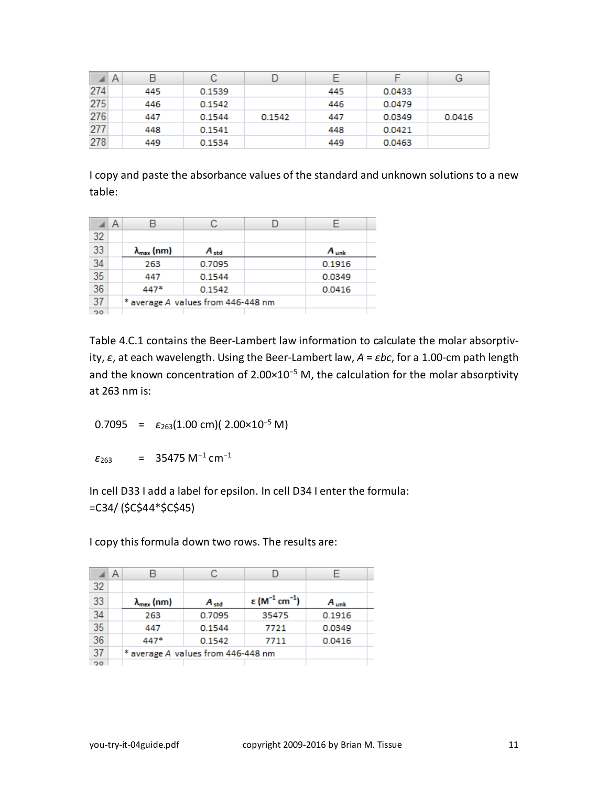| ◢   | $\mathsf{A}$ |     | С      |        |     |        | G      |
|-----|--------------|-----|--------|--------|-----|--------|--------|
| 274 |              | 445 | 0.1539 |        | 445 | 0.0433 |        |
| 275 |              | 446 | 0.1542 |        | 446 | 0.0479 |        |
| 276 |              | 447 | 0.1544 | 0.1542 | 447 | 0.0349 | 0.0416 |
| 277 |              | 448 | 0.1541 |        | 448 | 0.0421 |        |
| 278 |              | 449 | 0.1534 |        | 449 | 0.0463 |        |

I copy and paste the absorbance values of the standard and unknown solutions to a new table:

|                 | А |                                    |           |  |           |
|-----------------|---|------------------------------------|-----------|--|-----------|
| 32              |   |                                    |           |  |           |
| 33              |   | $\lambda_{\text{max}}$ (nm)        | $A_{std}$ |  | $A_{unk}$ |
| 34              |   | 263                                | 0.7095    |  | 0.1916    |
| $\overline{35}$ |   | 447                                | 0.1544    |  | 0.0349    |
| 36              |   | 447*                               | 0.1542    |  | 0.0416    |
| 37              |   | * average A values from 446-448 nm |           |  |           |
| 20              |   |                                    |           |  |           |

Table 4.C.1 contains the Beer-Lambert law information to calculate the molar absorptivity, *ε*, at each wavelength. Using the Beer-Lambert law, *A* = *εbc*, for a 1.00-cm path length and the known concentration of 2.00×10<sup>−</sup><sup>5</sup> M, the calculation for the molar absorptivity at 263 nm is:

0.7095 =  $\varepsilon_{263}(1.00 \text{ cm})$ ( 2.00×10<sup>-5</sup> M)

 $\varepsilon_{263}$  = 35475 M<sup>-1</sup> cm<sup>-1</sup>

In cell D33 I add a label for epsilon. In cell D34 I enter the formula: =C34/ (\$C\$44\*\$C\$45)

I copy this formula down two rows. The results are:

|                 | A |                                    | С         |                                       |           |  |
|-----------------|---|------------------------------------|-----------|---------------------------------------|-----------|--|
| 32              |   |                                    |           |                                       |           |  |
| 33              |   | $\lambda_{\max}$ (nm)              | $A_{std}$ | ε (M <sup>-1</sup> cm <sup>-1</sup> ) | $A_{unk}$ |  |
| 34              |   | 263                                | 0.7095    | 35475                                 | 0.1916    |  |
| $\overline{35}$ |   | 447                                | 0.1544    | 7721                                  | 0.0349    |  |
| 36              |   | 447*                               | 0.1542    | 7711                                  | 0.0416    |  |
| 37              |   | * average A values from 446-448 nm |           |                                       |           |  |
| 20 <sub>o</sub> |   |                                    |           |                                       |           |  |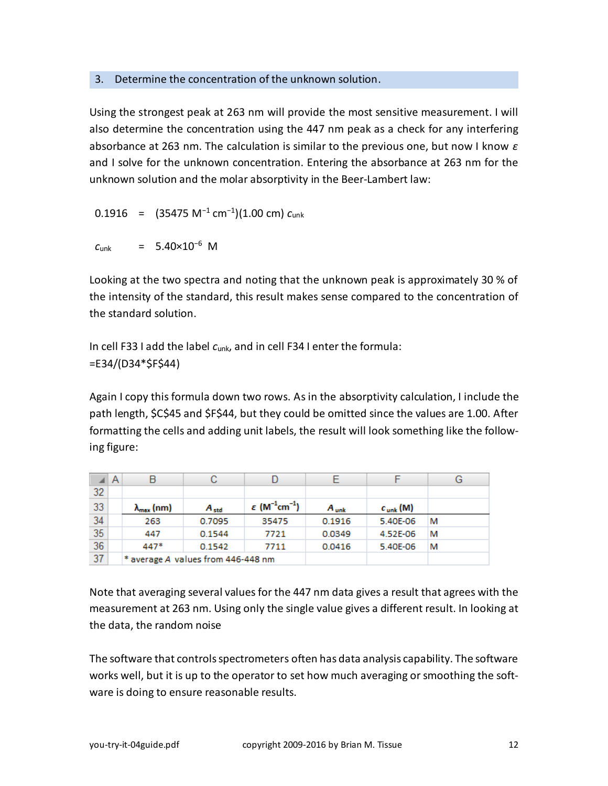# 3. Determine the concentration of the unknown solution.

Using the strongest peak at 263 nm will provide the most sensitive measurement. I will also determine the concentration using the 447 nm peak as a check for any interfering absorbance at 263 nm. The calculation is similar to the previous one, but now I know *ε* and I solve for the unknown concentration. Entering the absorbance at 263 nm for the unknown solution and the molar absorptivity in the Beer-Lambert law:

0.1916 = (35475 M<sup>−</sup><sup>1</sup> cm<sup>−</sup><sup>1</sup> )(1.00 cm) *c*unk

```
c<sub>unk</sub> = 5.40×10<sup>-6</sup> M
```
Looking at the two spectra and noting that the unknown peak is approximately 30 % of the intensity of the standard, this result makes sense compared to the concentration of the standard solution.

In cell F33 I add the label *c*unk, and in cell F34 I enter the formula: =E34/(D34\*\$F\$44)

Again I copy this formula down two rows. As in the absorptivity calculation, I include the path length, \$C\$45 and \$F\$44, but they could be omitted since the values are 1.00. After formatting the cells and adding unit labels, the result will look something like the following figure:

|    | A |                             | С                                  |                                                   |           |               | G |
|----|---|-----------------------------|------------------------------------|---------------------------------------------------|-----------|---------------|---|
| 32 |   |                             |                                    |                                                   |           |               |   |
| 33 |   | $\lambda_{\text{max}}$ (nm) | $A_{std}$                          | $\varepsilon$ (M <sup>-1</sup> cm <sup>-1</sup> ) | $A_{unk}$ | $c_{unk}$ (M) |   |
| 34 |   | 263                         | 0.7095                             | 35475                                             | 0.1916    | 5.40E-06      | м |
| 35 |   | 447                         | 0.1544                             | 7721                                              | 0.0349    | 4.52E-06      | м |
| 36 |   | $447*$                      | 0.1542                             | 7711                                              | 0.0416    | 5.40E-06      | м |
| 37 |   |                             | * average A values from 446-448 nm |                                                   |           |               |   |

Note that averaging several values for the 447 nm data gives a result that agrees with the measurement at 263 nm. Using only the single value gives a different result. In looking at the data, the random noise

The software that controls spectrometers often has data analysis capability. The software works well, but it is up to the operator to set how much averaging or smoothing the software is doing to ensure reasonable results.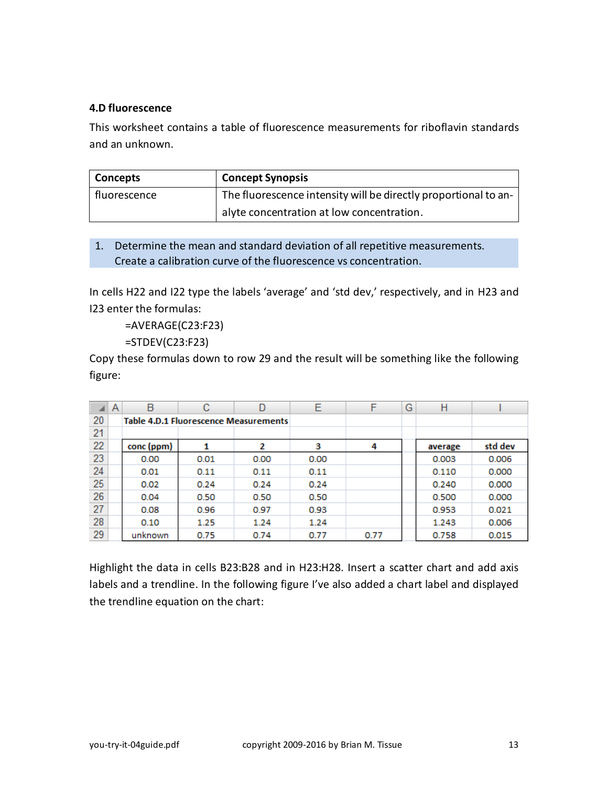# <span id="page-12-0"></span>**4.D fluorescence**

This worksheet contains a table of fluorescence measurements for riboflavin standards and an unknown.

| <b>Concepts</b> | <b>Concept Synopsis</b>                                         |
|-----------------|-----------------------------------------------------------------|
| fluorescence    | The fluorescence intensity will be directly proportional to an- |
|                 | alyte concentration at low concentration.                       |

# 1. Determine the mean and standard deviation of all repetitive measurements. Create a calibration curve of the fluorescence vs concentration.

In cells H22 and I22 type the labels 'average' and 'std dev,' respectively, and in H23 and I23 enter the formulas:

=AVERAGE(C23:F23)

=STDEV(C23:F23)

Copy these formulas down to row 29 and the result will be something like the following figure:

|    | Α | B          | С    |                                              | Ε    | F    | G | Н       |         |
|----|---|------------|------|----------------------------------------------|------|------|---|---------|---------|
| 20 |   |            |      | <b>Table 4.D.1 Fluorescence Measurements</b> |      |      |   |         |         |
| 21 |   |            |      |                                              |      |      |   |         |         |
| 22 |   | conc (ppm) |      | 2                                            | з    | 4    |   | average | std dev |
| 23 |   | 0.00       | 0.01 | 0.00                                         | 0.00 |      |   | 0.003   | 0.006   |
| 24 |   | 0.01       | 0.11 | 0.11                                         | 0.11 |      |   | 0.110   | 0.000   |
| 25 |   | 0.02       | 0.24 | 0.24                                         | 0.24 |      |   | 0.240   | 0.000   |
| 26 |   | 0.04       | 0.50 | 0.50                                         | 0.50 |      |   | 0.500   | 0.000   |
| 27 |   | 0.08       | 0.96 | 0.97                                         | 0.93 |      |   | 0.953   | 0.021   |
| 28 |   | 0.10       | 1.25 | 1.24                                         | 1.24 |      |   | 1.243   | 0.006   |
| 29 |   | unknown    | 0.75 | 0.74                                         | 0.77 | 0.77 |   | 0.758   | 0.015   |

Highlight the data in cells B23:B28 and in H23:H28. Insert a scatter chart and add axis labels and a trendline. In the following figure I've also added a chart label and displayed the trendline equation on the chart: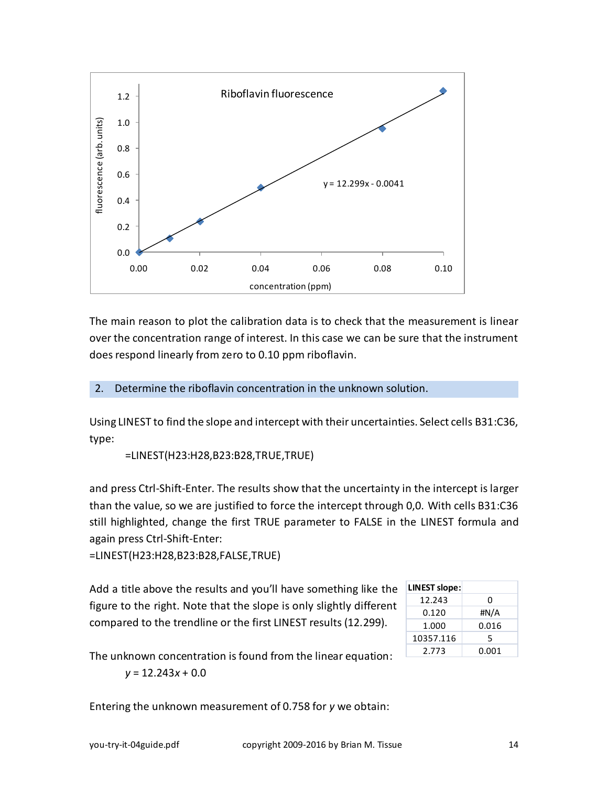

The main reason to plot the calibration data is to check that the measurement is linear over the concentration range of interest. In this case we can be sure that the instrument does respond linearly from zero to 0.10 ppm riboflavin.

2. Determine the riboflavin concentration in the unknown solution.

Using LINEST to find the slope and intercept with their uncertainties. Select cells B31:C36, type:

=LINEST(H23:H28,B23:B28,TRUE,TRUE)

and press Ctrl-Shift-Enter. The results show that the uncertainty in the intercept is larger than the value, so we are justified to force the intercept through 0,0. With cells B31:C36 still highlighted, change the first TRUE parameter to FALSE in the LINEST formula and again press Ctrl-Shift-Enter:

=LINEST(H23:H28,B23:B28,FALSE,TRUE)

Add a title above the results and you'll have something like the figure to the right. Note that the slope is only slightly different compared to the trendline or the first LINEST results (12.299).

| <b>LINEST slope:</b> |       |
|----------------------|-------|
| 12.243               | ŋ     |
| 0.120                | #N/A  |
| 1.000                | 0.016 |
| 10357.116            | 5     |
| 2.773                | 0.001 |

The unknown concentration is found from the linear equation:

*y* = 12.243*x* + 0.0

Entering the unknown measurement of 0.758 for *y* we obtain: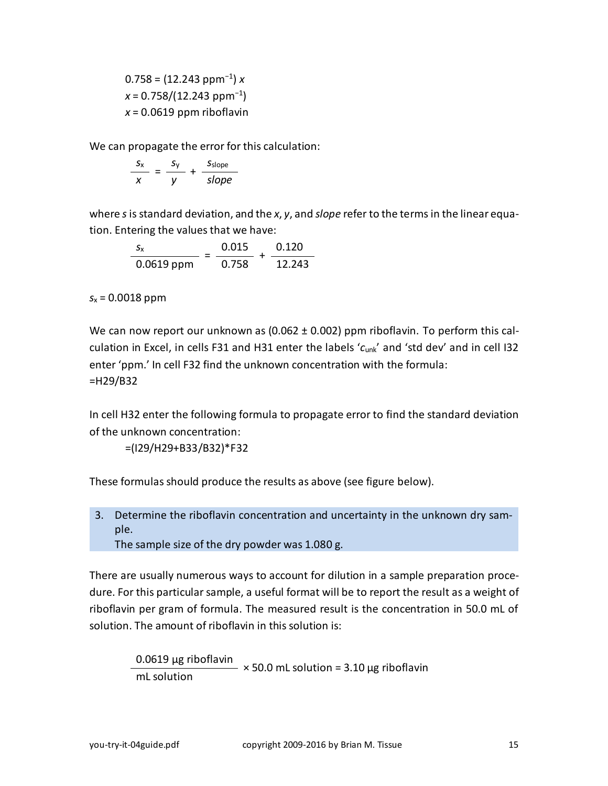0.758 = (12.243 ppm<sup>−</sup><sup>1</sup> ) *x x* = 0.758/(12.243 ppm<sup>−</sup><sup>1</sup> )  $x = 0.0619$  ppm riboflavin

We can propagate the error for this calculation:

$$
\frac{s_x}{x} = \frac{s_y}{y} + \frac{s_{slope}}{slope}
$$

where *s*is standard deviation, and the *x*, *y*, and *slope* refer to the terms in the linear equation. Entering the values that we have:

$$
\frac{s_x}{0.0619 \text{ ppm}} = \frac{0.015}{0.758} + \frac{0.120}{12.243}
$$

*s*<sup>x</sup> = 0.0018 ppm

We can now report our unknown as (0.062 ± 0.002) ppm riboflavin. To perform this calculation in Excel, in cells F31 and H31 enter the labels '*c*unk' and 'std dev' and in cell I32 enter 'ppm.' In cell F32 find the unknown concentration with the formula: =H29/B32

In cell H32 enter the following formula to propagate error to find the standard deviation of the unknown concentration:

=(I29/H29+B33/B32)\*F32

These formulas should produce the results as above (see figure below).

3. Determine the riboflavin concentration and uncertainty in the unknown dry sample.

The sample size of the dry powder was 1.080 g.

There are usually numerous ways to account for dilution in a sample preparation procedure. For this particular sample, a useful format will be to report the result as a weight of riboflavin per gram of formula. The measured result is the concentration in 50.0 mL of solution. The amount of riboflavin in this solution is:

> 0.0619 μg riboflavin  $-$  × 50.0 mL solution = 3.10 μg riboflavin mL solution